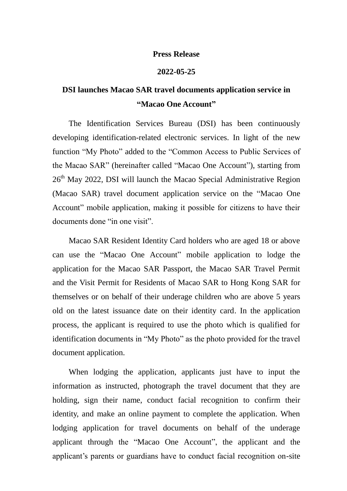## **Press Release**

## **2022-05-25**

## **DSI launches Macao SAR travel documents application service in "Macao One Account"**

The Identification Services Bureau (DSI) has been continuously developing identification-related electronic services. In light of the new function "My Photo" added to the "Common Access to Public Services of the Macao SAR" (hereinafter called "Macao One Account"), starting from 26<sup>th</sup> May 2022, DSI will launch the Macao Special Administrative Region (Macao SAR) travel document application service on the "Macao One Account" mobile application, making it possible for citizens to have their documents done "in one visit".

Macao SAR Resident Identity Card holders who are aged 18 or above can use the "Macao One Account" mobile application to lodge the application for the Macao SAR Passport, the Macao SAR Travel Permit and the Visit Permit for Residents of Macao SAR to Hong Kong SAR for themselves or on behalf of their underage children who are above 5 years old on the latest issuance date on their identity card. In the application process, the applicant is required to use the photo which is qualified for identification documents in "My Photo" as the photo provided for the travel document application.

When lodging the application, applicants just have to input the information as instructed, photograph the travel document that they are holding, sign their name, conduct facial recognition to confirm their identity, and make an online payment to complete the application. When lodging application for travel documents on behalf of the underage applicant through the "Macao One Account", the applicant and the applicant's parents or guardians have to conduct facial recognition on-site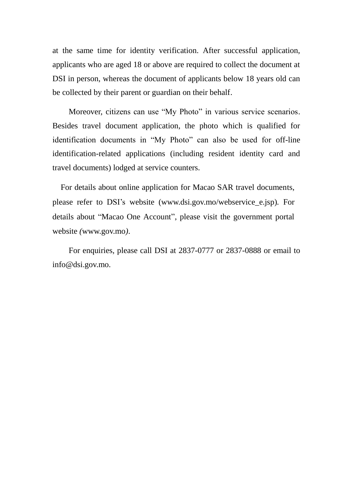at the same time for identity verification. After successful application, applicants who are aged 18 or above are required to collect the document at DSI in person, whereas the document of applicants below 18 years old can be collected by their parent or guardian on their behalf.

Moreover, citizens can use "My Photo" in various service scenarios. Besides travel document application, the photo which is qualified for identification documents in "My Photo" can also be used for off-line identification-related applications (including resident identity card and travel documents) lodged at service counters.

For details about online application for Macao SAR travel documents, please refer to DSI's website (www.dsi.gov.mo/webservice\_e.jsp)*.* For details about "Macao One Account", please visit the government portal website *(*www.gov.mo*)*.

For enquiries, please call DSI at 2837-0777 or 2837-0888 or email to info@dsi.gov.mo.